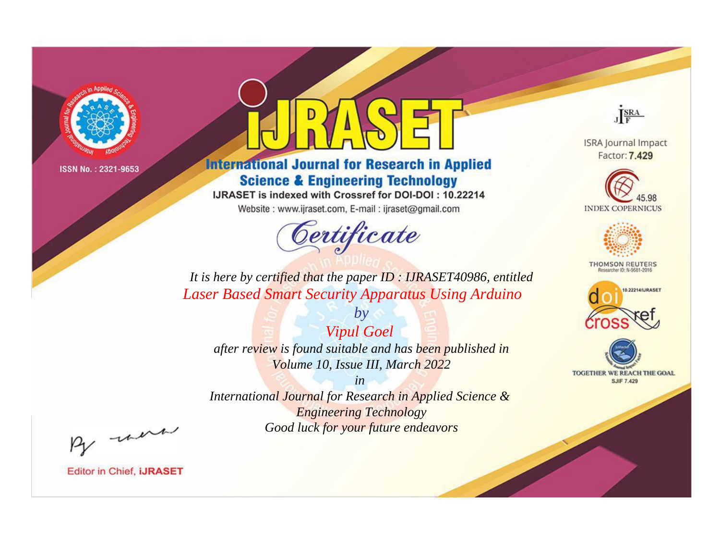

# **International Journal for Research in Applied Science & Engineering Technology**

IJRASET is indexed with Crossref for DOI-DOI: 10.22214

Website: www.ijraset.com, E-mail: ijraset@gmail.com



JERA

**ISRA Journal Impact** Factor: 7.429





**THOMSON REUTERS** 



TOGETHER WE REACH THE GOAL **SJIF 7.429** 

*It is here by certified that the paper ID : IJRASET40986, entitled Laser Based Smart Security Apparatus Using Arduino*

*Vipul Goel after review is found suitable and has been published in Volume 10, Issue III, March 2022*

*by*

*in* 

*International Journal for Research in Applied Science & Engineering Technology Good luck for your future endeavors*

By morn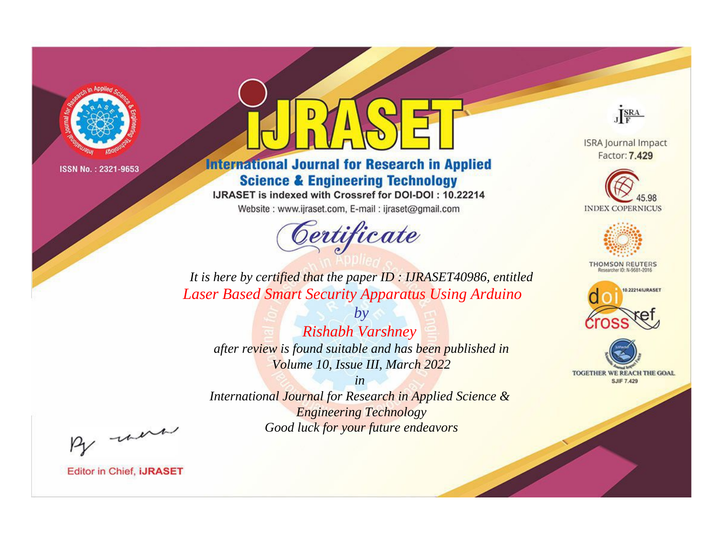

# **International Journal for Research in Applied Science & Engineering Technology**

IJRASET is indexed with Crossref for DOI-DOI: 10.22214

Website: www.ijraset.com, E-mail: ijraset@gmail.com



JERA

**ISRA Journal Impact** Factor: 7.429





**THOMSON REUTERS** 



TOGETHER WE REACH THE GOAL **SJIF 7.429** 

*It is here by certified that the paper ID : IJRASET40986, entitled Laser Based Smart Security Apparatus Using Arduino*

*Rishabh Varshney after review is found suitable and has been published in Volume 10, Issue III, March 2022*

*by*

*in* 

*International Journal for Research in Applied Science & Engineering Technology Good luck for your future endeavors*

By morn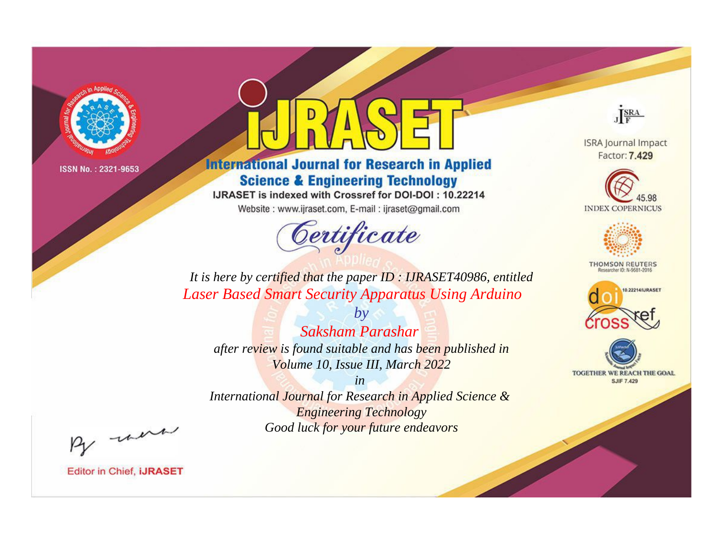

# **International Journal for Research in Applied Science & Engineering Technology**

IJRASET is indexed with Crossref for DOI-DOI: 10.22214

Website: www.ijraset.com, E-mail: ijraset@gmail.com



JERA

**ISRA Journal Impact** Factor: 7.429





**THOMSON REUTERS** 



TOGETHER WE REACH THE GOAL **SJIF 7.429** 

It is here by certified that the paper ID: IJRASET40986, entitled **Laser Based Smart Security Apparatus Using Arduino** 

Saksham Parashar after review is found suitable and has been published in Volume 10, Issue III, March 2022

 $b\nu$ 

 $in$ International Journal for Research in Applied Science & **Engineering Technology** Good luck for your future endeavors

By morn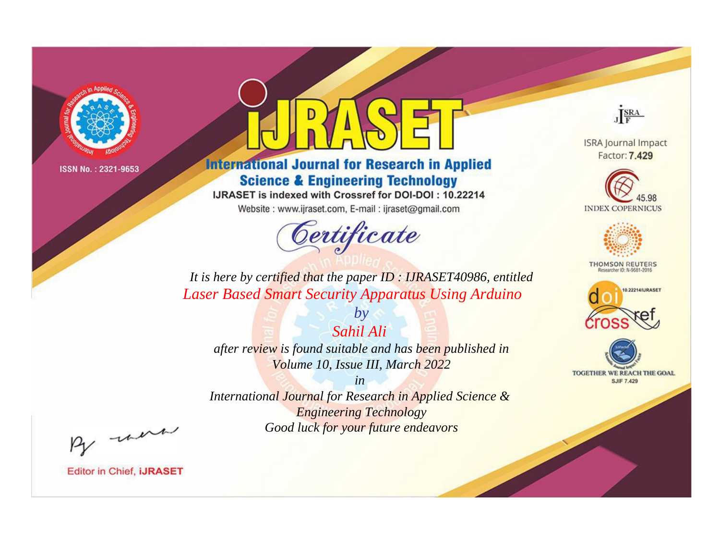

# **International Journal for Research in Applied Science & Engineering Technology**

IJRASET is indexed with Crossref for DOI-DOI: 10.22214

Website: www.ijraset.com, E-mail: ijraset@gmail.com



JERA

**ISRA Journal Impact** Factor: 7.429





**THOMSON REUTERS** 



TOGETHER WE REACH THE GOAL **SJIF 7.429** 

*It is here by certified that the paper ID : IJRASET40986, entitled Laser Based Smart Security Apparatus Using Arduino*

*Sahil Ali after review is found suitable and has been published in Volume 10, Issue III, March 2022*

*by*

*in* 

*International Journal for Research in Applied Science & Engineering Technology Good luck for your future endeavors*

By morn